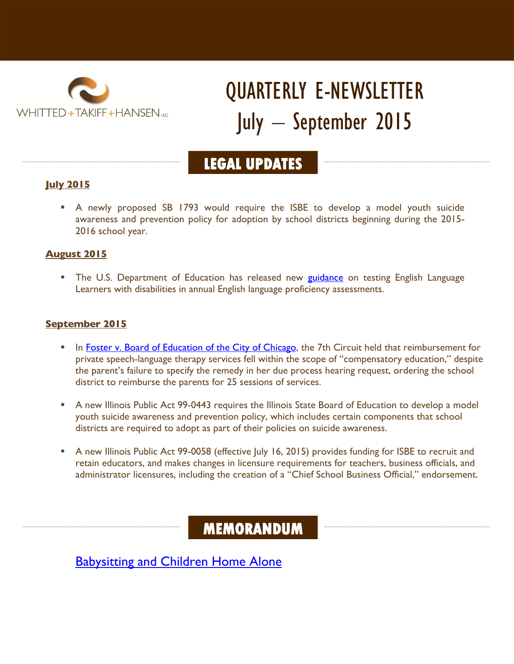

# QUARTERLY E-NEWSLETTER July – September 2015

## **LEGAL UPDATES**

#### **July 2015**

 A newly proposed SB 1793 would require the ISBE to develop a model youth suicide awareness and prevention policy for adoption by school districts beginning during the 2015- 2016 school year.

#### **August 2015**

The U.S. Department of Education has released new [guidance](http://www.wthlawfirm.com/wp-content/uploads/2015/07/Questions-and-Answers-Regarding-Inclusion-of-English-Learners-with-Disabilities-in-English-Language-Proficiency-Assessments.pdf) on testing English Language Learners with disabilities in annual English language proficiency assessments.

#### **September 2015**

- In [Foster v. Board of Education of the City of Chicago,](http://law.justia.com/cases/federal/appellate-courts/ca7/14-3035/14-3035-2015-05-11.html) the 7th Circuit held that reimbursement for private speech-language therapy services fell within the scope of "compensatory education," despite the parent's failure to specify the remedy in her due process hearing request, ordering the school district to reimburse the parents for 25 sessions of services.
- A new Illinois Public Act 99-0443 requires the Illinois State Board of Education to develop a model youth suicide awareness and prevention policy, which includes certain components that school districts are required to adopt as part of their policies on suicide awareness.
- A new Illinois Public Act 99-0058 (effective July 16, 2015) provides funding for ISBE to recruit and retain educators, and makes changes in licensure requirements for teachers, business officials, and administrator licensures, including the creation of a "Chief School Business Official," endorsement.

### **MEMORANDUM**

**[Babysitting and Children Home Alone](http://www.wthlawfirm.com/for-parents/memorandum/babysitting-children-home-alone/)**